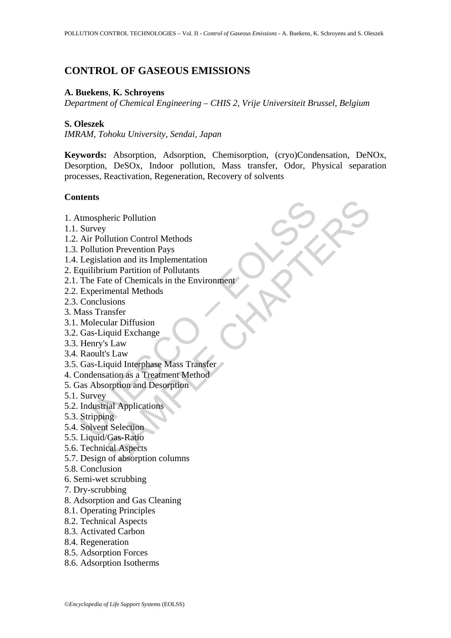# **CONTROL OF GASEOUS EMISSIONS**

#### **A. Buekens**, **K. Schroyens**

*Department of Chemical Engineering – CHIS 2, Vrije Universiteit Brussel, Belgium* 

#### **S. Oleszek**

*IMRAM, Tohoku University, Sendai, Japan* 

**Keywords:** Absorption, Adsorption, Chemisorption, (cryo)Condensation, DeNOx, Desorption, DeSOx, Indoor pollution, Mass transfer, Odor, Physical separation processes, Reactivation, Regeneration, Recovery of solvents

# **Contents**

- 1. Atmospheric Pollution
- 1.1. Survey
- 1.2. Air Pollution Control Methods
- 1.3. Pollution Prevention Pays
- 1.4. Legislation and its Implementation
- 2. Equilibrium Partition of Pollutants
- tmospheric Pollution<br>
Survey<br>
Air Pollution Control Methods<br>
Pollution Prevention Pays<br>
Pollution Prevention Pays<br>
Legislation and its Implementation<br>
quilibrium Parititon of Pollutants<br>
The Fate of Chemicals in the Enviro recic Pollution<br>
V<br>
Vilution Control Methods<br>
on Prevention Pays<br>
ation and its Implementation<br>
tuar Partition of Pollutants<br>
mental Methods<br>
mental Methods<br>
stans<br>
visual Diffusion<br>
viluar Diffusion<br>
(ular Diffusion<br>
stan 2.1. The Fate of Chemicals in the Environment
- 2.2. Experimental Methods
- 2.3. Conclusions
- 3. Mass Transfer
- 3.1. Molecular Diffusion
- 3.2. Gas-Liquid Exchange
- 3.3. Henry's Law
- 3.4. Raoult's Law
- 3.5. Gas-Liquid Interphase Mass Transfer
- 4. Condensation as a Treatment Method
- 5. Gas Absorption and Desorption
- 5.1. Survey
- 5.2. Industrial Applications
- 5.3. Stripping
- 5.4. Solvent Selection
- 5.5. Liquid/Gas-Ratio
- 5.6. Technical Aspects
- 5.7. Design of absorption columns
- 5.8. Conclusion
- 6. Semi-wet scrubbing
- 7. Dry-scrubbing
- 8. Adsorption and Gas Cleaning
- 8.1. Operating Principles
- 8.2. Technical Aspects
- 8.3. Activated Carbon
- 8.4. Regeneration
- 8.5. Adsorption Forces
- 8.6. Adsorption Isotherms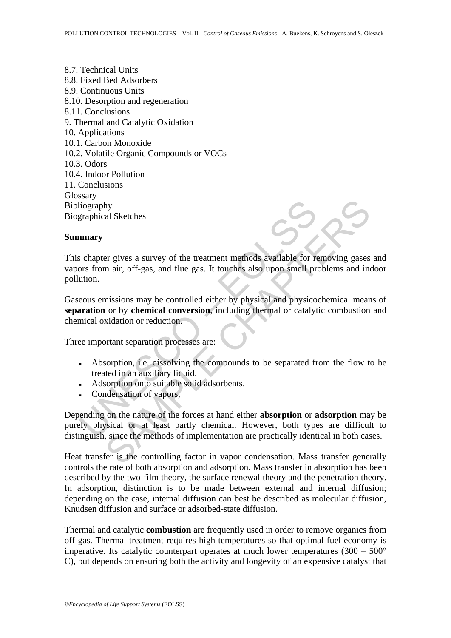8.7. Technical Units 8.8. Fixed Bed Adsorbers 8.9. Continuous Units 8.10. Desorption and regeneration 8.11. Conclusions 9. Thermal and Catalytic Oxidation 10. Applications 10.1. Carbon Monoxide 10.2. Volatile Organic Compounds or VOCs 10.3. Odors 10.4. Indoor Pollution 11. Conclusions **Glossary** Bibliography Biographical Sketches

#### **Summary**

This chapter gives a survey of the treatment methods available for removing gases and vapors from air, off-gas, and flue gas. It touches also upon smell problems and indoor pollution.

liography<br>
schapter gives a survey of the treatment methods available for reasons<br>
schapter gives a survey of the treatment methods available for reasons<br>
schapter gives a survey of the treatment methods available for reas Gaseous emissions may be controlled either by physical and physicochemical means of **separation** or by **chemical conversion**, including thermal or catalytic combustion and chemical oxidation or reduction.

Three important separation processes are:

- Absorption, i.e. dissolving the compounds to be separated from the flow to be treated in an auxiliary liquid.
- Adsorption onto suitable solid adsorbents.
- **Condensation of vapors,**

The state of the transmissions and the state of the state of the state of the state of the state of the state of the state of the state of the state of the state of the state of the state of the state of the minissions may Depending on the nature of the forces at hand either **absorption** or **adsorption** may be purely physical or at least partly chemical. However, both types are difficult to distinguish, since the methods of implementation are practically identical in both cases.

Heat transfer is the controlling factor in vapor condensation. Mass transfer generally controls the rate of both absorption and adsorption. Mass transfer in absorption has been described by the two-film theory, the surface renewal theory and the penetration theory. In adsorption, distinction is to be made between external and internal diffusion; depending on the case, internal diffusion can best be described as molecular diffusion, Knudsen diffusion and surface or adsorbed-state diffusion.

Thermal and catalytic **combustion** are frequently used in order to remove organics from off-gas. Thermal treatment requires high temperatures so that optimal fuel economy is imperative. Its catalytic counterpart operates at much lower temperatures (300 – 500° C), but depends on ensuring both the activity and longevity of an expensive catalyst that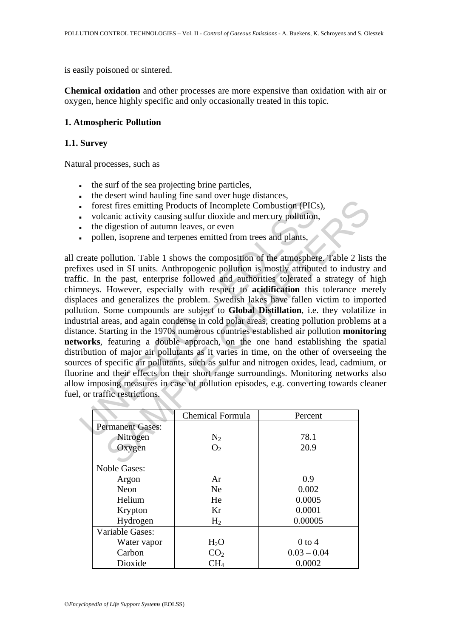is easily poisoned or sintered.

**Chemical oxidation** and other processes are more expensive than oxidation with air or oxygen, hence highly specific and only occasionally treated in this topic.

# **1. Atmospheric Pollution**

#### **1.1. Survey**

Natural processes, such as

- the surf of the sea projecting brine particles,
- the desert wind hauling fine sand over huge distances,
- forest fires emitting Products of Incomplete Combustion (PICs),
- volcanic activity causing sulfur dioxide and mercury pollution,
- **•** the digestion of autumn leaves, or even
- pollen, isoprene and terpenes emitted from trees and plants,

Free emitting Products of Incomplete Combustion (PIC:<br>
volcanic activity causing sulfur dioxide and mercury pollution<br>
the digestion of autumn leaves, or even<br>
pollen, isoprene and terpenes emitted from trees and plants,<br> External in the products of incomplete Combustion (PICs),<br>canic activity causing Products of Incomplete Combustion (PICs),<br>canic activity causing sulfur dioxide and mercury pollution,<br>digestion of autumn leaves, or even<br>t all create pollution. Table 1 shows the composition of the atmosphere. Table 2 lists the prefixes used in SI units. Anthropogenic pollution is mostly attributed to industry and traffic. In the past, enterprise followed and authorities tolerated a strategy of high chimneys. However, especially with respect to **acidification** this tolerance merely displaces and generalizes the problem. Swedish lakes have fallen victim to imported pollution. Some compounds are subject to **Global Distillation**, i.e. they volatilize in industrial areas, and again condense in cold polar areas, creating pollution problems at a distance. Starting in the 1970s numerous countries established air pollution **monitoring networks**, featuring a double approach, on the one hand establishing the spatial distribution of major air pollutants as it varies in time, on the other of overseeing the sources of specific air pollutants, such as sulfur and nitrogen oxides, lead, cadmium, or fluorine and their effects on their short range surroundings. Monitoring networks also allow imposing measures in case of pollution episodes, e.g. converting towards cleaner fuel, or traffic restrictions.

|                         | <b>Chemical Formula</b> | Percent       |
|-------------------------|-------------------------|---------------|
| <b>Permanent Gases:</b> |                         |               |
| Nitrogen                | $N_2$                   | 78.1          |
| Oxygen                  | O <sub>2</sub>          | 20.9          |
|                         |                         |               |
| <b>Noble Gases:</b>     |                         |               |
| Argon                   | Ar                      | 0.9           |
| Neon                    | <b>Ne</b>               | 0.002         |
| Helium                  | He                      | 0.0005        |
| Krypton                 | Kr                      | 0.0001        |
| Hydrogen                | H <sub>2</sub>          | 0.00005       |
| Variable Gases:         |                         |               |
| Water vapor             | H <sub>2</sub> O        | $0$ to 4      |
| Carbon                  | CO <sub>2</sub>         | $0.03 - 0.04$ |
| Dioxide                 | CH <sub>4</sub>         | 0.0002        |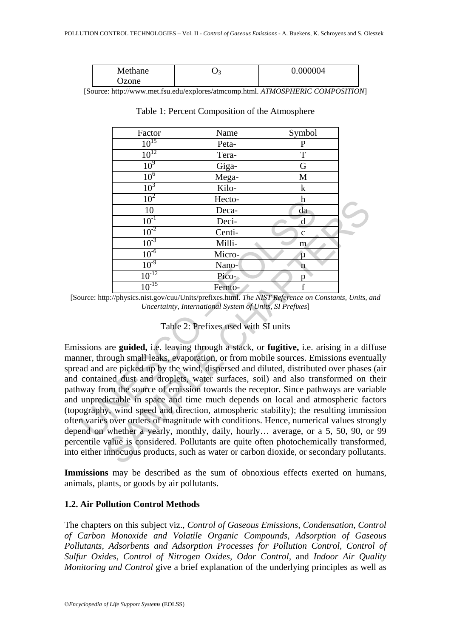| Methane | ັ | 0.000004 |
|---------|---|----------|
| Jzone   |   |          |

[Source: http://www.met.fsu.edu/explores/atmcomp.html. *ATMOSPHERIC COMPOSITION*]

| Factor          | Name   | Symbol       |  |
|-----------------|--------|--------------|--|
| $10^{15}$       | Peta-  | $\mathbf P$  |  |
| $10^{12}$       | Tera-  | T            |  |
| 10 <sup>9</sup> | Giga-  | G            |  |
| 10 <sup>6</sup> | Mega-  | M            |  |
| 10 <sup>3</sup> | Kilo-  | $\bf k$      |  |
| 10 <sup>2</sup> | Hecto- | h            |  |
| 10              | Deca-  | da           |  |
| $10^{-1}$       | Deci-  | $\mathbf d$  |  |
| $10^{-2}$       | Centi- | $\mathbf{C}$ |  |
| $10^{-3}$       | Milli- | m            |  |
| $10^{-6}$       | Micro- | μ            |  |
| $10^{-9}$       | Nano-  | n            |  |
| $10^{-12}$      | Pico-  | n            |  |
| $10^{-15}$      | Femto- | f            |  |

Table 1: Percent Composition of the Atmosphere

# Table 2: Prefixes used with SI units

 $\frac{10}{10}$  – Deci-<br>  $\frac{10^{-1}}{10^{-2}}$  – Deci-<br>  $\frac{10^{-3}}{10^{-3}}$  – Milli-<br>  $\frac{10^{-5}}{10^{-5}}$  – Micro-<br>  $\frac{10^{-6}}{10^{-12}}$  – Micro-<br>  $\frac{10^{-10}}{10^{-10}}$  – Micro-<br>  $\frac{10^{-12}}{10^{-12}}$  – Pico-<br>  $\frac{10^{-15}}{10^{-15}}$  – Pico-<br>
ource:  $\frac{10^3}{10^3}$  Deci-<br>  $\frac{10^3}{10^3}$  Deci-<br>  $\frac{10^3}{10^3}$  Milli-<br>  $\frac{10^5}{10^3}$  Milli-<br>  $\frac{10^3}{10^3}$  Milli-<br>  $\frac{10^3}{10^3}$  Milli-<br>  $\frac{10^3}{10^3}$  Pico-<br>  $\frac{1}{10^{12}}$  Pico-<br>  $\frac{1}{10^{15}}$  Pico-<br>  $\frac{1}{10^{15}}$  Emissions are **guided,** i.e. leaving through a stack, or **fugitive,** i.e. arising in a diffuse manner, through small leaks, evaporation, or from mobile sources. Emissions eventually spread and are picked up by the wind, dispersed and diluted, distributed over phases (air and contained dust and droplets, water surfaces, soil) and also transformed on their pathway from the source of emission towards the receptor. Since pathways are variable and unpredictable in space and time much depends on local and atmospheric factors (topography, wind speed and direction, atmospheric stability); the resulting immission often varies over orders of magnitude with conditions. Hence, numerical values strongly depend on whether a yearly, monthly, daily, hourly… average, or a 5, 50, 90, or 99 percentile value is considered. Pollutants are quite often photochemically transformed, into either innocuous products, such as water or carbon dioxide, or secondary pollutants.

**Immissions** may be described as the sum of obnoxious effects exerted on humans, animals, plants, or goods by air pollutants.

# **1.2. Air Pollution Control Methods**

The chapters on this subject viz., *Control of Gaseous Emissions, Condensation, Control of Carbon Monoxide and Volatile Organic Compounds, Adsorption of Gaseous Pollutants, Adsorbents and Adsorption Processes for Pollution Control, Control of Sulfur Oxides, Control of Nitrogen Oxides, Odor Control,* and *Indoor Air Quality Monitoring and Control* give a brief explanation of the underlying principles as well as

<sup>[</sup>Source: http://physics.nist.gov/cuu/Units/prefixes.html. *The NIST Reference on Constants, Units, and Uncertainty, International System of Units, SI Prefixes*]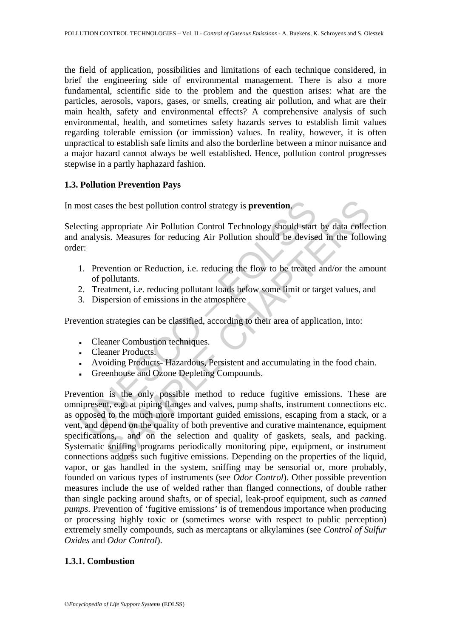the field of application, possibilities and limitations of each technique considered, in brief the engineering side of environmental management. There is also a more fundamental, scientific side to the problem and the question arises: what are the particles, aerosols, vapors, gases, or smells, creating air pollution, and what are their main health, safety and environmental effects? A comprehensive analysis of such environmental, health, and sometimes safety hazards serves to establish limit values regarding tolerable emission (or immission) values. In reality, however, it is often unpractical to establish safe limits and also the borderline between a minor nuisance and a major hazard cannot always be well established. Hence, pollution control progresses stepwise in a partly haphazard fashion.

# **1.3. Pollution Prevention Pays**

In most cases the best pollution control strategy is **prevention**.

Selecting appropriate Air Pollution Control Technology should start by data collection and analysis. Measures for reducing Air Pollution should be devised in the following order:

- 1. Prevention or Reduction, i.e. reducing the flow to be treated and/or the amount of pollutants.
- 2. Treatment, i.e. reducing pollutant loads below some limit or target values, and
- 3. Dispersion of emissions in the atmosphere

Prevention strategies can be classified, according to their area of application, into:

- Cleaner Combustion techniques.
- Cleaner Products.
- Avoiding Products- Hazardous, Persistent and accumulating in the food chain.
- Greenhouse and Ozone Depleting Compounds.

not cases the best pollution control strategy is **prevention**.<br>
Exerting appropriate Air Pollution Control Technology should start<br>
analysis. Measures for reducing Air Pollution should be devise<br>
Fr.<br>
1. Prevention or Redu is the best pollution control strategy is **prevention**.<br>
ses the best pollution Control Technology should start by data collectis.<br>
Measures for reducing Air Pollution should be devised in the follow<br>
vention or Reduction, Prevention is the only possible method to reduce fugitive emissions. These are omnipresent, e.g. at piping flanges and valves, pump shafts, instrument connections etc. as opposed to the much more important guided emissions, escaping from a stack, or a vent, and depend on the quality of both preventive and curative maintenance, equipment specifications, and on the selection and quality of gaskets, seals, and packing. Systematic sniffing programs periodically monitoring pipe, equipment, or instrument connections address such fugitive emissions. Depending on the properties of the liquid, vapor, or gas handled in the system, sniffing may be sensorial or, more probably, founded on various types of instruments (see *Odor Control*). Other possible prevention measures include the use of welded rather than flanged connections, of double rather than single packing around shafts, or of special, leak-proof equipment, such as *canned pumps*. Prevention of 'fugitive emissions' is of tremendous importance when producing or processing highly toxic or (sometimes worse with respect to public perception) extremely smelly compounds, such as mercaptans or alkylamines (see *Control of Sulfur Oxides* and *Odor Control*).

# **1.3.1. Combustion**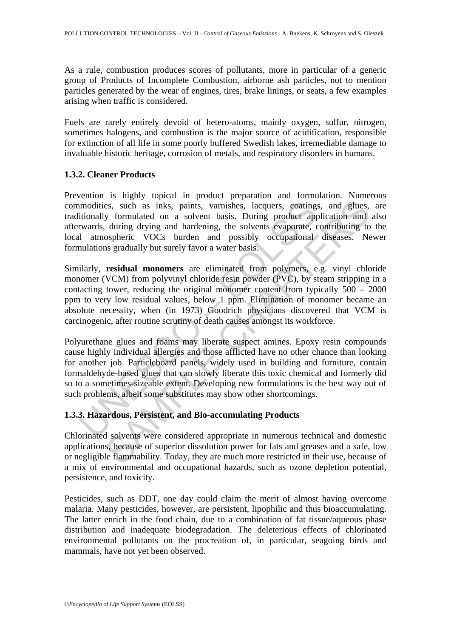As a rule, combustion produces scores of pollutants, more in particular of a generic group of Products of Incomplete Combustion, airborne ash particles, not to mention particles generated by the wear of engines, tires, brake linings, or seats, a few examples arising when traffic is considered.

Fuels are rarely entirely devoid of hetero-atoms, mainly oxygen, sulfur, nitrogen, sometimes halogens, and combustion is the major source of acidification, responsible for extinction of all life in some poorly buffered Swedish lakes, irremediable damage to invaluable historic heritage, corrosion of metals, and respiratory disorders in humans.

# **1.3.2. Cleaner Products**

Prevention is highly topical in product preparation and formulation. Numerous commodities, such as inks, paints, varnishes, lacquers, coatings, and glues, are traditionally formulated on a solvent basis. During product application and also afterwards, during drying and hardening, the solvents evaporate, contributing to the local atmospheric VOCs burden and possibly occupational diseases. Newer formulations gradually but surely favor a water basis.

Similarly, **residual monomers** are eliminated from polymers, e.g. vinyl chloride monomer (VCM) from polyvinyl chloride resin powder (PVC), by steam stripping in a contacting tower, reducing the original monomer content from typically  $500 - 2000$ ppm to very low residual values, below 1 ppm. Elimination of monomer became an absolute necessity, when (in 1973) Goodrich physicians discovered that VCM is carcinogenic, after routine scrutiny of death causes amongst its workforce.

modities, such as inks, paints, varnishes, lacquers, coating<br>itionally formulated on a solvent basis. During product approvards, during drying and hardening, the solvents evaporate, d<br>a tamospheric VOCs burden and possibly es, such as inks, paints, varnishes, lacquers, coatings, and glues,<br>y formulated on a solvent basis. During product application and<br>during drying and hardening, the solvents evaporate, contributing to<br>ospheric VOCs burden Polyurethane glues and foams may liberate suspect amines. Epoxy resin compounds cause highly individual allergies and those afflicted have no other chance than looking for another job. Particleboard panels, widely used in building and furniture, contain formaldehyde-based glues that can slowly liberate this toxic chemical and formerly did so to a sometimes-sizeable extent. Developing new formulations is the best way out of such problems, albeit some substitutes may show other shortcomings.

# **1.3.3. Hazardous, Persistent, and Bio-accumulating Products**

Chlorinated solvents were considered appropriate in numerous technical and domestic applications, because of superior dissolution power for fats and greases and a safe, low or negligible flammability. Today, they are much more restricted in their use, because of a mix of environmental and occupational hazards, such as ozone depletion potential, persistence, and toxicity.

Pesticides, such as DDT, one day could claim the merit of almost having overcome malaria. Many pesticides, however, are persistent, lipophilic and thus bioaccumulating. The latter enrich in the food chain, due to a combination of fat tissue/aqueous phase distribution and inadequate biodegradation. The deleterious effects of chlorinated environmental pollutants on the procreation of, in particular, seagoing birds and mammals, have not yet been observed.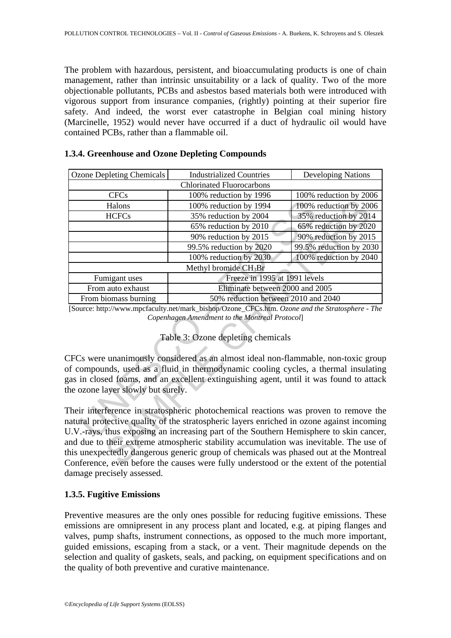The problem with hazardous, persistent, and bioaccumulating products is one of chain management, rather than intrinsic unsuitability or a lack of quality. Two of the more objectionable pollutants, PCBs and asbestos based materials both were introduced with vigorous support from insurance companies, (rightly) pointing at their superior fire safety. And indeed, the worst ever catastrophe in Belgian coal mining history (Marcinelle, 1952) would never have occurred if a duct of hydraulic oil would have contained PCBs, rather than a flammable oil.

| <b>Ozone Depleting Chemicals</b>   | <b>Industrialized Countries</b>                                                                                                                                                                                                                                                                                                                                                                                                                                                                                                                       | <b>Developing Nations</b> |  |  |
|------------------------------------|-------------------------------------------------------------------------------------------------------------------------------------------------------------------------------------------------------------------------------------------------------------------------------------------------------------------------------------------------------------------------------------------------------------------------------------------------------------------------------------------------------------------------------------------------------|---------------------------|--|--|
|                                    | <b>Chlorinated Fluorocarbons</b>                                                                                                                                                                                                                                                                                                                                                                                                                                                                                                                      |                           |  |  |
| <b>CFCs</b>                        | 100% reduction by 1996                                                                                                                                                                                                                                                                                                                                                                                                                                                                                                                                | 100% reduction by 2006    |  |  |
| Halons                             | 100% reduction by 1994                                                                                                                                                                                                                                                                                                                                                                                                                                                                                                                                | 100% reduction by 2006    |  |  |
| <b>HCFCs</b>                       | 35% reduction by 2004                                                                                                                                                                                                                                                                                                                                                                                                                                                                                                                                 | 35% reduction by 2014     |  |  |
|                                    | 65% reduction by 2010                                                                                                                                                                                                                                                                                                                                                                                                                                                                                                                                 | 65% reduction by 2020     |  |  |
|                                    | 90% reduction by 2015                                                                                                                                                                                                                                                                                                                                                                                                                                                                                                                                 | 90% reduction by 2015     |  |  |
|                                    | 99.5% reduction by 2020                                                                                                                                                                                                                                                                                                                                                                                                                                                                                                                               | 99.5% reduction by 2030   |  |  |
|                                    | 100% reduction by 2030                                                                                                                                                                                                                                                                                                                                                                                                                                                                                                                                | 100% reduction by 2040    |  |  |
| Methyl bromide $CH_3Br$            |                                                                                                                                                                                                                                                                                                                                                                                                                                                                                                                                                       |                           |  |  |
| Fumigant uses                      | Freeze in 1995 at 1991 levels                                                                                                                                                                                                                                                                                                                                                                                                                                                                                                                         |                           |  |  |
| From auto exhaust                  | Eliminate between 2000 and 2005                                                                                                                                                                                                                                                                                                                                                                                                                                                                                                                       |                           |  |  |
| From biomass burning               | 50% reduction between 2010 and 2040                                                                                                                                                                                                                                                                                                                                                                                                                                                                                                                   |                           |  |  |
|                                    | [Source: http://www.mpcfaculty.net/mark_bishop/Ozone_CFCs.htm. Ozone and the Stratosphere - The<br>Copenhagen Amendment to the Montreal Protocol]<br>Table 3: Ozone depleting chemicals                                                                                                                                                                                                                                                                                                                                                               |                           |  |  |
| the ozone layer slowly but surely. | CFCs were unanimously considered as an almost ideal non-flammable, non-toxic group<br>of compounds, used as a fluid in thermodynamic cooling cycles, a thermal insulating<br>gas in closed foams, and an excellent extinguishing agent, until it was found to attacl                                                                                                                                                                                                                                                                                  |                           |  |  |
|                                    | Their interference in stratospheric photochemical reactions was proven to remove the<br>natural protective quality of the stratospheric layers enriched in ozone against incoming<br>U.V.-rays, thus exposing an increasing part of the Southern Hemisphere to skin cancer<br>and due to their extreme atmospheric stability accumulation was inevitable. The use o<br>this unexpectedly dangerous generic group of chemicals was phased out at the Montrea<br>Conference, even before the causes were fully understood or the extent of the potentia |                           |  |  |

# **1.3.4. Greenhouse and Ozone Depleting Compounds**

# Table 3: Ozone depleting chemicals

Their interference in stratospheric photochemical reactions was proven to remove the natural protective quality of the stratospheric layers enriched in ozone against incoming U.V.-rays, thus exposing an increasing part of the Southern Hemisphere to skin cancer, and due to their extreme atmospheric stability accumulation was inevitable. The use of this unexpectedly dangerous generic group of chemicals was phased out at the Montreal Conference, even before the causes were fully understood or the extent of the potential damage precisely assessed.

# **1.3.5. Fugitive Emissions**

Preventive measures are the only ones possible for reducing fugitive emissions. These emissions are omnipresent in any process plant and located, e.g. at piping flanges and valves, pump shafts, instrument connections, as opposed to the much more important, guided emissions, escaping from a stack, or a vent. Their magnitude depends on the selection and quality of gaskets, seals, and packing, on equipment specifications and on the quality of both preventive and curative maintenance.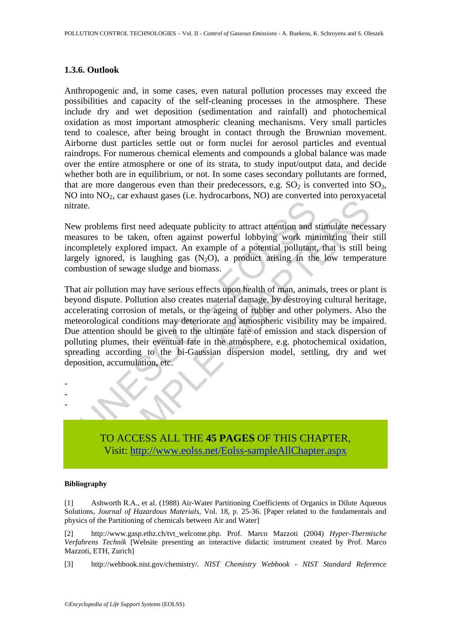#### **1.3.6. Outlook**

Anthropogenic and, in some cases, even natural pollution processes may exceed the possibilities and capacity of the self-cleaning processes in the atmosphere. These include dry and wet deposition (sedimentation and rainfall) and photochemical oxidation as most important atmospheric cleaning mechanisms. Very small particles tend to coalesce, after being brought in contact through the Brownian movement. Airborne dust particles settle out or form nuclei for aerosol particles and eventual raindrops. For numerous chemical elements and compounds a global balance was made over the entire atmosphere or one of its strata, to study input/output data, and decide whether both are in equilibrium, or not. In some cases secondary pollutants are formed, that are more dangerous even than their predecessors, e.g.  $SO_2$  is converted into  $SO_3$ ,  $NO$  into  $NO<sub>2</sub>$ , car exhaust gases (i.e. hydrocarbons,  $NO$ ) are converted into peroxyacetal nitrate.

New problems first need adequate publicity to attract attention and stimulate necessary measures to be taken, often against powerful lobbying work minimizing their still incompletely explored impact. An example of a potential pollutant, that is still being largely ignored, is laughing gas  $(N_2O)$ , a product arising in the low temperature combustion of sewage sludge and biomass.

ate.<br>
w problems first need adequate publicity to attract attention and<br>
sures to be taken, often against powerful lobbying work minimpletely explored impact. An example of a potential pollutant,<br>
ely ignored, is laughing ens first need adequate publicity to attract attention and stimulate necessite to be taken, often against powerful lobbying work minimizing their ly explored impact. An example of a potential pollutant, that is still bored That air pollution may have serious effects upon health of man, animals, trees or plant is beyond dispute. Pollution also creates material damage, by destroying cultural heritage, accelerating corrosion of metals, or the ageing of rubber and other polymers. Also the meteorological conditions may deteriorate and atmospheric visibility may be impaired. Due attention should be given to the ultimate fate of emission and stack dispersion of polluting plumes, their eventual fate in the atmosphere, e.g. photochemical oxidation, spreading according to the bi-Gaussian dispersion model, settling, dry and wet deposition, accumulation, etc.



#### **Bibliography**

- - -

[1] Ashworth R.A., et al. (1988) Air-Water Partitioning Coefficients of Organics in Dilute Aqueous Solutions, *Journal of Hazardous Materials*, Vol. 18, p. 25-36. [Paper related to the fundamentals and physics of the Partitioning of chemicals between Air and Water]

[2] http://www.gasp.ethz.ch/tvt\_welcome.php. Prof. Marco Mazzoti (2004) *Hyper-Thermische Verfahrens Technik* [Website presenting an interactive didactic instrument created by Prof. Marco Mazzoti, ETH, Zurich]

[3] http://webbook.nist.gov/chemistry/. *NIST Chemistry Webbook - NIST Standard Reference*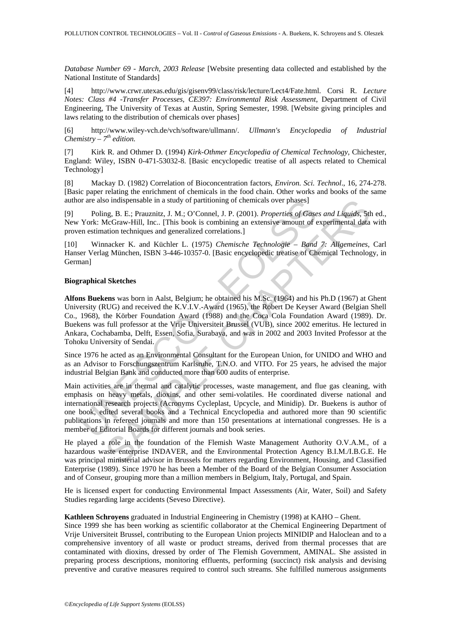*Database Number 69 - March, 2003 Release* [Website presenting data collected and established by the National Institute of Standards]

[4] http://www.crwr.utexas.edu/gis/gisenv99/class/risk/lecture/Lect4/Fate.html. Corsi R. *Lecture Notes: Class #4 -Transfer Processes, CE397: Environmental Risk Assessment*, Department of Civil Engineering, The University of Texas at Austin, Spring Semester, 1998. [Website giving principles and laws relating to the distribution of chemicals over phases]

[6] http://www.wiley-vch.de/vch/software/ullmann/. *Ullmann's Encyclopedia of Industrial Chemistry – 7th edition.*

[7] Kirk R. and Othmer D. (1994) *Kirk-Othmer Encyclopedia of Chemical Technology*, Chichester, England: Wiley, ISBN 0-471-53032-8. [Basic encyclopedic treatise of all aspects related to Chemical Technology]

[8] Mackay D. (1982) Correlation of Bioconcentration factors, *Environ. Sci. Technol*., 16, 274-278. [Basic paper relating the enrichment of chemicals in the food chain. Other works and books of the same author are also indispensable in a study of partitioning of chemicals over phases]

[9] Poling, B. E.; Prauznitz, J. M.; O'Connel, J. P. (2001). *Properties of Gases and Liquids*, 5th ed., New York: McGraw-Hill, Inc.. [This book is combining an extensive amount of experimental data with proven estimation techniques and generalized correlations.]

[10] Winnacker K. and Küchler L. (1975) *Chemische Technologie – Band 7: Allgemeines*, Carl Hanser Verlag München, ISBN 3-446-10357-0. [Basic encyclopedic treatise of Chemical Technology, in German]

#### **Biographical Sketches**

Toting, B. E.; Prauzzitz, J. M.; O'Connel, J. P. (2001). *Properties of Gase*<br>Poling, B. E.; Prauzzitz, J. M.; O'Connel, J. P. (2001). *Properties of Gase*<br>York: McGraw-Hill, Inc.. [This book is combining an extensive amou io indispensable in a study of partitioning of chemicals over phases]<br>
ang, B. E.; Pranzmitz, J. M.; O'Connel, J. P. (2001). *Properties of Cases and Liquids*, 51<br>
deGraw-Hill, Inc.. [This book is combining an extensive am **Alfons Buekens** was born in Aalst, Belgium; he obtained his M.Sc. (1964) and his Ph.D (1967) at Ghent University (RUG) and received the K.V.I.V.-Award (1965), the Robert De Keyser Award (Belgian Shell Co., 1968), the Körber Foundation Award (1988) and the Coca Cola Foundation Award (1989). Dr. Buekens was full professor at the Vrije Universiteit Brussel (VUB), since 2002 emeritus. He lectured in Ankara, Cochabamba, Delft, Essen, Sofia, Surabaya, and was in 2002 and 2003 Invited Professor at the Tohoku University of Sendai.

Since 1976 he acted as an Environmental Consultant for the European Union, for UNIDO and WHO and as an Advisor to Forschungszentrum Karlsruhe, T.N.O. and VITO. For 25 years, he advised the major industrial Belgian Bank and conducted more than 600 audits of enterprise.

Main activities are in thermal and catalytic processes, waste management, and flue gas cleaning, with emphasis on heavy metals, dioxins, and other semi-volatiles. He coordinated diverse national and international research projects (Acronyms Cycleplast, Upcycle, and Minidip). Dr. Buekens is author of one book, edited several books and a Technical Encyclopedia and authored more than 90 scientific publications in refereed journals and more than 150 presentations at international congresses. He is a member of Editorial Boards for different journals and book series.

He played a role in the foundation of the Flemish Waste Management Authority O.V.A.M., of a hazardous waste enterprise INDAVER, and the Environmental Protection Agency B.I.M./I.B.G.E. He was principal ministerial advisor in Brussels for matters regarding Environment, Housing, and Classified Enterprise (1989). Since 1970 he has been a Member of the Board of the Belgian Consumer Association and of Conseur, grouping more than a million members in Belgium, Italy, Portugal, and Spain.

He is licensed expert for conducting Environmental Impact Assessments (Air, Water, Soil) and Safety Studies regarding large accidents (Seveso Directive).

#### **Kathleen Schroyens** graduated in Industrial Engineering in Chemistry (1998) at KAHO – Ghent.

Since 1999 she has been working as scientific collaborator at the Chemical Engineering Department of Vrije Universiteit Brussel, contributing to the European Union projects MINIDIP and Haloclean and to a comprehensive inventory of all waste or product streams, derived from thermal processes that are contaminated with dioxins, dressed by order of The Flemish Government, AMINAL. She assisted in preparing process descriptions, monitoring effluents, performing (succinct) risk analysis and devising preventive and curative measures required to control such streams. She fulfilled numerous assignments